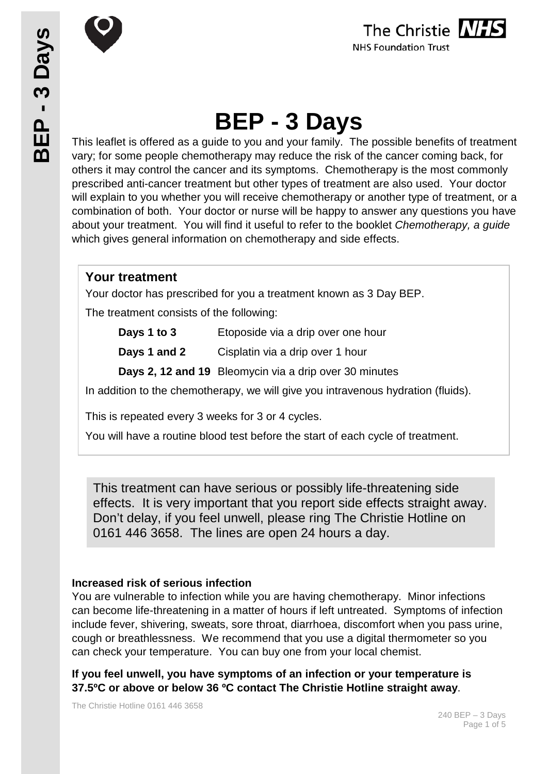



# **BEP - 3 Days**

This leaflet is offered as a guide to you and your family. The possible benefits of treatment vary; for some people chemotherapy may reduce the risk of the cancer coming back, for others it may control the cancer and its symptoms. Chemotherapy is the most commonly prescribed anti-cancer treatment but other types of treatment are also used. Your doctor will explain to you whether you will receive chemotherapy or another type of treatment, or a combination of both. Your doctor or nurse will be happy to answer any questions you have about your treatment. You will find it useful to refer to the booklet *Chemotherapy, a guide* which gives general information on chemotherapy and side effects.

## **Your treatment**

Your doctor has prescribed for you a treatment known as 3 Day BEP.

The treatment consists of the following:

| Days 1 to 3 | Etoposide via a drip over one hour |
|-------------|------------------------------------|
|-------------|------------------------------------|

**Days 1 and 2** Cisplatin via a drip over 1 hour

**Days 2, 12 and 19** Bleomycin via a drip over 30 minutes

In addition to the chemotherapy, we will give you intravenous hydration (fluids).

This is repeated every 3 weeks for 3 or 4 cycles.

You will have a routine blood test before the start of each cycle of treatment.

This treatment can have serious or possibly life-threatening side effects. It is very important that you report side effects straight away. Don't delay, if you feel unwell, please ring The Christie Hotline on 0161 446 3658. The lines are open 24 hours a day.

#### **Increased risk of serious infection**

You are vulnerable to infection while you are having chemotherapy. Minor infections can become life-threatening in a matter of hours if left untreated. Symptoms of infection include fever, shivering, sweats, sore throat, diarrhoea, discomfort when you pass urine, cough or breathlessness. We recommend that you use a digital thermometer so you can check your temperature. You can buy one from your local chemist.

**If you feel unwell, you have symptoms of an infection or your temperature is 37.5ºC or above or below 36 ºC contact The Christie Hotline straight away**.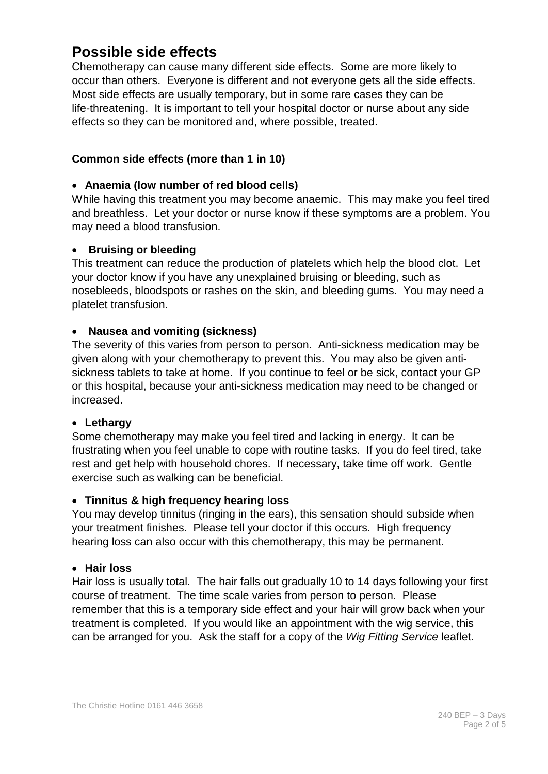# **Possible side effects**

Chemotherapy can cause many different side effects. Some are more likely to occur than others. Everyone is different and not everyone gets all the side effects. Most side effects are usually temporary, but in some rare cases they can be life-threatening. It is important to tell your hospital doctor or nurse about any side effects so they can be monitored and, where possible, treated.

#### **Common side effects (more than 1 in 10)**

#### • **Anaemia (low number of red blood cells)**

While having this treatment you may become anaemic. This may make you feel tired and breathless. Let your doctor or nurse know if these symptoms are a problem. You may need a blood transfusion.

#### • **Bruising or bleeding**

This treatment can reduce the production of platelets which help the blood clot. Let your doctor know if you have any unexplained bruising or bleeding, such as nosebleeds, bloodspots or rashes on the skin, and bleeding gums. You may need a platelet transfusion.

#### • **Nausea and vomiting (sickness)**

The severity of this varies from person to person. Anti-sickness medication may be given along with your chemotherapy to prevent this. You may also be given antisickness tablets to take at home. If you continue to feel or be sick, contact your GP or this hospital, because your anti-sickness medication may need to be changed or increased.

#### • **Lethargy**

Some chemotherapy may make you feel tired and lacking in energy. It can be frustrating when you feel unable to cope with routine tasks. If you do feel tired, take rest and get help with household chores. If necessary, take time off work. Gentle exercise such as walking can be beneficial.

#### • **Tinnitus & high frequency hearing loss**

You may develop tinnitus (ringing in the ears), this sensation should subside when your treatment finishes. Please tell your doctor if this occurs. High frequency hearing loss can also occur with this chemotherapy, this may be permanent.

#### • **Hair loss**

Hair loss is usually total. The hair falls out gradually 10 to 14 days following your first course of treatment. The time scale varies from person to person. Please remember that this is a temporary side effect and your hair will grow back when your treatment is completed. If you would like an appointment with the wig service, this can be arranged for you. Ask the staff for a copy of the *Wig Fitting Service* leaflet.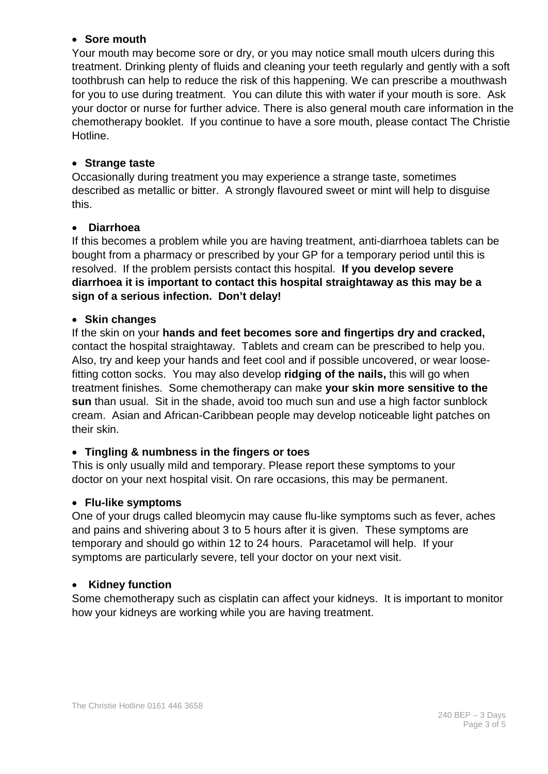#### • **Sore mouth**

Your mouth may become sore or dry, or you may notice small mouth ulcers during this treatment. Drinking plenty of fluids and cleaning your teeth regularly and gently with a soft toothbrush can help to reduce the risk of this happening. We can prescribe a mouthwash for you to use during treatment. You can dilute this with water if your mouth is sore. Ask your doctor or nurse for further advice. There is also general mouth care information in the chemotherapy booklet. If you continue to have a sore mouth, please contact The Christie Hotline.

#### • **Strange taste**

Occasionally during treatment you may experience a strange taste, sometimes described as metallic or bitter. A strongly flavoured sweet or mint will help to disguise this.

#### • **Diarrhoea**

If this becomes a problem while you are having treatment, anti-diarrhoea tablets can be bought from a pharmacy or prescribed by your GP for a temporary period until this is resolved. If the problem persists contact this hospital. **If you develop severe diarrhoea it is important to contact this hospital straightaway as this may be a sign of a serious infection. Don't delay!**

#### • **Skin changes**

If the skin on your **hands and feet becomes sore and fingertips dry and cracked,** contact the hospital straightaway. Tablets and cream can be prescribed to help you. Also, try and keep your hands and feet cool and if possible uncovered, or wear loosefitting cotton socks. You may also develop **ridging of the nails,** this will go when treatment finishes. Some chemotherapy can make **your skin more sensitive to the sun** than usual. Sit in the shade, avoid too much sun and use a high factor sunblock cream. Asian and African-Caribbean people may develop noticeable light patches on their skin.

#### • **Tingling & numbness in the fingers or toes**

This is only usually mild and temporary. Please report these symptoms to your doctor on your next hospital visit. On rare occasions, this may be permanent.

#### • **Flu-like symptoms**

One of your drugs called bleomycin may cause flu-like symptoms such as fever, aches and pains and shivering about 3 to 5 hours after it is given. These symptoms are temporary and should go within 12 to 24 hours. Paracetamol will help. If your symptoms are particularly severe, tell your doctor on your next visit.

#### • **Kidney function**

Some chemotherapy such as cisplatin can affect your kidneys. It is important to monitor how your kidneys are working while you are having treatment.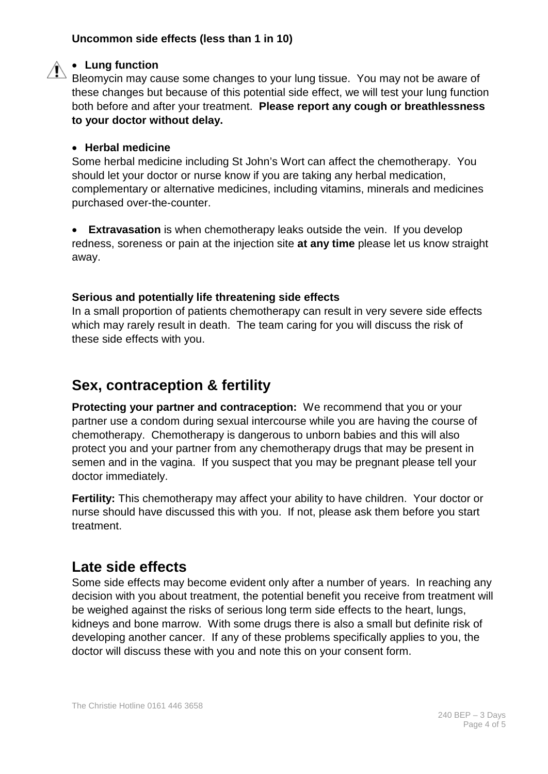#### **Uncommon side effects (less than 1 in 10)**

#### • **Lung function**

Bleomycin may cause some changes to your lung tissue. You may not be aware of these changes but because of this potential side effect, we will test your lung function both before and after your treatment. **Please report any cough or breathlessness to your doctor without delay.**

#### • **Herbal medicine**

Some herbal medicine including St John's Wort can affect the chemotherapy. You should let your doctor or nurse know if you are taking any herbal medication, complementary or alternative medicines, including vitamins, minerals and medicines purchased over-the-counter.

• **Extravasation** is when chemotherapy leaks outside the vein. If you develop redness, soreness or pain at the injection site **at any time** please let us know straight away.

#### **Serious and potentially life threatening side effects**

In a small proportion of patients chemotherapy can result in very severe side effects which may rarely result in death. The team caring for you will discuss the risk of these side effects with you.

# **Sex, contraception & fertility**

**Protecting your partner and contraception:** We recommend that you or your partner use a condom during sexual intercourse while you are having the course of chemotherapy. Chemotherapy is dangerous to unborn babies and this will also protect you and your partner from any chemotherapy drugs that may be present in semen and in the vagina. If you suspect that you may be pregnant please tell your doctor immediately.

**Fertility:** This chemotherapy may affect your ability to have children. Your doctor or nurse should have discussed this with you. If not, please ask them before you start treatment.

## **Late side effects**

Some side effects may become evident only after a number of years. In reaching any decision with you about treatment, the potential benefit you receive from treatment will be weighed against the risks of serious long term side effects to the heart, lungs, kidneys and bone marrow. With some drugs there is also a small but definite risk of developing another cancer. If any of these problems specifically applies to you, the doctor will discuss these with you and note this on your consent form.